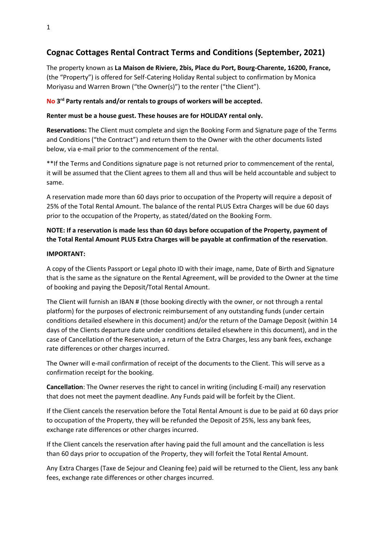# **Cognac Cottages Rental Contract Terms and Conditions (September, 2021)**

The property known as **La Maison de Riviere, 2bis, Place du Port, Bourg-Charente, 16200, France,** (the "Property") is offered for Self-Catering Holiday Rental subject to confirmation by Monica Moriyasu and Warren Brown ("the Owner(s)") to the renter ("the Client").

### **No 3 rd Party rentals and/or rentals to groups of workers will be accepted.**

#### **Renter must be a house guest. These houses are for HOLIDAY rental only.**

**Reservations:** The Client must complete and sign the Booking Form and Signature page of the Terms and Conditions ("the Contract") and return them to the Owner with the other documents listed below, via e-mail prior to the commencement of the rental.

\*\*If the Terms and Conditions signature page is not returned prior to commencement of the rental, it will be assumed that the Client agrees to them all and thus will be held accountable and subject to same.

A reservation made more than 60 days prior to occupation of the Property will require a deposit of 25% of the Total Rental Amount. The balance of the rental PLUS Extra Charges will be due 60 days prior to the occupation of the Property, as stated/dated on the Booking Form.

# **NOTE: If a reservation is made less than 60 days before occupation of the Property, payment of the Total Rental Amount PLUS Extra Charges will be payable at confirmation of the reservation**.

#### **IMPORTANT:**

A copy of the Clients Passport or Legal photo ID with their image, name, Date of Birth and Signature that is the same as the signature on the Rental Agreement, will be provided to the Owner at the time of booking and paying the Deposit/Total Rental Amount.

The Client will furnish an IBAN # (those booking directly with the owner, or not through a rental platform) for the purposes of electronic reimbursement of any outstanding funds (under certain conditions detailed elsewhere in this document) and/or the return of the Damage Deposit (within 14 days of the Clients departure date under conditions detailed elsewhere in this document), and in the case of Cancellation of the Reservation, a return of the Extra Charges, less any bank fees, exchange rate differences or other charges incurred.

The Owner will e-mail confirmation of receipt of the documents to the Client. This will serve as a confirmation receipt for the booking.

**Cancellation**: The Owner reserves the right to cancel in writing (including E-mail) any reservation that does not meet the payment deadline. Any Funds paid will be forfeit by the Client.

If the Client cancels the reservation before the Total Rental Amount is due to be paid at 60 days prior to occupation of the Property, they will be refunded the Deposit of 25%, less any bank fees, exchange rate differences or other charges incurred.

If the Client cancels the reservation after having paid the full amount and the cancellation is less than 60 days prior to occupation of the Property, they will forfeit the Total Rental Amount.

Any Extra Charges (Taxe de Sejour and Cleaning fee) paid will be returned to the Client, less any bank fees, exchange rate differences or other charges incurred.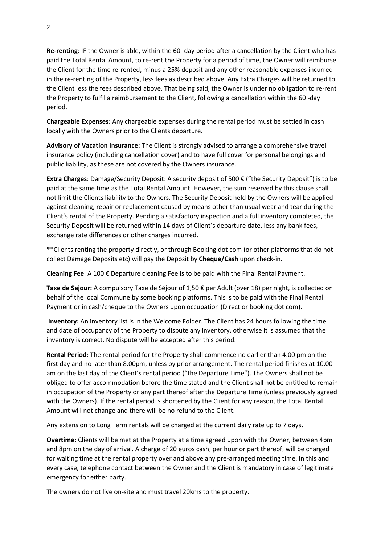**Re-renting**: IF the Owner is able, within the 60- day period after a cancellation by the Client who has paid the Total Rental Amount, to re-rent the Property for a period of time, the Owner will reimburse the Client for the time re-rented, minus a 25% deposit and any other reasonable expenses incurred in the re-renting of the Property, less fees as described above. Any Extra Charges will be returned to the Client less the fees described above. That being said, the Owner is under no obligation to re-rent the Property to fulfil a reimbursement to the Client, following a cancellation within the 60 -day period.

**Chargeable Expenses**: Any chargeable expenses during the rental period must be settled in cash locally with the Owners prior to the Clients departure.

**Advisory of Vacation Insurance:** The Client is strongly advised to arrange a comprehensive travel insurance policy (including cancellation cover) and to have full cover for personal belongings and public liability, as these are not covered by the Owners insurance.

**Extra Charges**: Damage/Security Deposit: A security deposit of 500 € ("the Security Deposit") is to be paid at the same time as the Total Rental Amount. However, the sum reserved by this clause shall not limit the Clients liability to the Owners. The Security Deposit held by the Owners will be applied against cleaning, repair or replacement caused by means other than usual wear and tear during the Client's rental of the Property. Pending a satisfactory inspection and a full inventory completed, the Security Deposit will be returned within 14 days of Client's departure date, less any bank fees, exchange rate differences or other charges incurred.

\*\*Clients renting the property directly, or through Booking dot com (or other platforms that do not collect Damage Deposits etc) will pay the Deposit by **Cheque/Cash** upon check-in.

**Cleaning Fee**: A 100 € Departure cleaning Fee is to be paid with the Final Rental Payment.

**Taxe de Sejour:** A compulsory Taxe de Séjour of 1,50 € per Adult (over 18) per night, is collected on behalf of the local Commune by some booking platforms. This is to be paid with the Final Rental Payment or in cash/cheque to the Owners upon occupation (Direct or booking dot com).

**Inventory:** An inventory list is in the Welcome Folder. The Client has 24 hours following the time and date of occupancy of the Property to dispute any inventory, otherwise it is assumed that the inventory is correct. No dispute will be accepted after this period.

**Rental Period:** The rental period for the Property shall commence no earlier than 4.00 pm on the first day and no later than 8.00pm, unless by prior arrangement. The rental period finishes at 10.00 am on the last day of the Client's rental period ("the Departure Time"). The Owners shall not be obliged to offer accommodation before the time stated and the Client shall not be entitled to remain in occupation of the Property or any part thereof after the Departure Time (unless previously agreed with the Owners). If the rental period is shortened by the Client for any reason, the Total Rental Amount will not change and there will be no refund to the Client.

Any extension to Long Term rentals will be charged at the current daily rate up to 7 days.

**Overtime:** Clients will be met at the Property at a time agreed upon with the Owner, between 4pm and 8pm on the day of arrival. A charge of 20 euros cash, per hour or part thereof, will be charged for waiting time at the rental property over and above any pre-arranged meeting time. In this and every case, telephone contact between the Owner and the Client is mandatory in case of legitimate emergency for either party.

The owners do not live on-site and must travel 20kms to the property.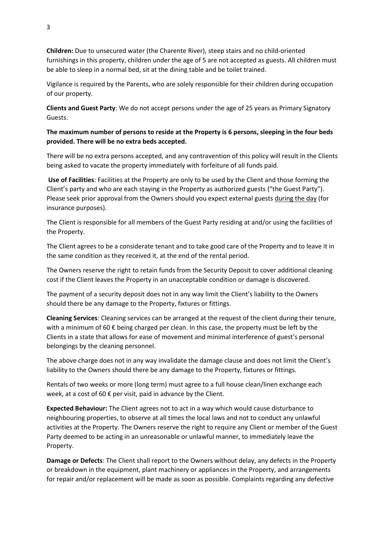**Children:** Due to unsecured water (the Charente River), steep stairs and no child-oriented furnishings in this property, children under the age of 5 are not accepted as guests. All children must be able to sleep in a normal bed, sit at the dining table and be toilet trained.

Vigilance is required by the Parents, who are solely responsible for their children during occupation of our property.

**Clients and Guest Party**: We do not accept persons under the age of 25 years as Primary Signatory Guests.

**The maximum number of persons to reside at the Property is 6 persons, sleeping in the four beds provided. There will be no extra beds accepted.**

There will be no extra persons accepted, and any contravention of this policy will result in the Clients being asked to vacate the property immediately with forfeiture of all funds paid.

**Use of Facilities**: Facilities at the Property are only to be used by the Client and those forming the Client's party and who are each staying in the Property as authorized guests ("the Guest Party"). Please seek prior approval from the Owners should you expect external guests during the day (for insurance purposes).

The Client is responsible for all members of the Guest Party residing at and/or using the facilities of the Property.

The Client agrees to be a considerate tenant and to take good care of the Property and to leave it in the same condition as they received it, at the end of the rental period.

The Owners reserve the right to retain funds from the Security Deposit to cover additional cleaning cost if the Client leaves the Property in an unacceptable condition or damage is discovered.

The payment of a security deposit does not in any way limit the Client's liability to the Owners should there be any damage to the Property, fixtures or fittings.

**Cleaning Services**: Cleaning services can be arranged at the request of the client during their tenure, with a minimum of 60 € being charged per clean. In this case, the property must be left by the Clients in a state that allows for ease of movement and minimal interference of guest's personal belongings by the cleaning personnel.

The above charge does not in any way invalidate the damage clause and does not limit the Client's liability to the Owners should there be any damage to the Property, fixtures or fittings.

Rentals of two weeks or more (long term) must agree to a full house clean/linen exchange each week, at a cost of 60  $\epsilon$  per visit, paid in advance by the Client.

**Expected Behaviour:** The Client agrees not to act in a way which would cause disturbance to neighbouring properties, to observe at all times the local laws and not to conduct any unlawful activities at the Property. The Owners reserve the right to require any Client or member of the Guest Party deemed to be acting in an unreasonable or unlawful manner, to immediately leave the Property.

**Damage or Defects**: The Client shall report to the Owners without delay, any defects in the Property or breakdown in the equipment, plant machinery or appliances in the Property, and arrangements for repair and/or replacement will be made as soon as possible. Complaints regarding any defective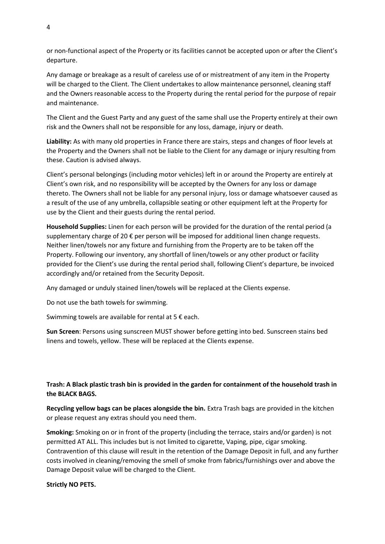or non-functional aspect of the Property or its facilities cannot be accepted upon or after the Client's departure.

Any damage or breakage as a result of careless use of or mistreatment of any item in the Property will be charged to the Client. The Client undertakes to allow maintenance personnel, cleaning staff and the Owners reasonable access to the Property during the rental period for the purpose of repair and maintenance.

The Client and the Guest Party and any guest of the same shall use the Property entirely at their own risk and the Owners shall not be responsible for any loss, damage, injury or death.

**Liability:** As with many old properties in France there are stairs, steps and changes of floor levels at the Property and the Owners shall not be liable to the Client for any damage or injury resulting from these. Caution is advised always.

Client's personal belongings (including motor vehicles) left in or around the Property are entirely at Client's own risk, and no responsibility will be accepted by the Owners for any loss or damage thereto. The Owners shall not be liable for any personal injury, loss or damage whatsoever caused as a result of the use of any umbrella, collapsible seating or other equipment left at the Property for use by the Client and their guests during the rental period.

**Household Supplies:** Linen for each person will be provided for the duration of the rental period (a supplementary charge of 20 € per person will be imposed for additional linen change requests. Neither linen/towels nor any fixture and furnishing from the Property are to be taken off the Property. Following our inventory, any shortfall of linen/towels or any other product or facility provided for the Client's use during the rental period shall, following Client's departure, be invoiced accordingly and/or retained from the Security Deposit.

Any damaged or unduly stained linen/towels will be replaced at the Clients expense.

Do not use the bath towels for swimming.

Swimming towels are available for rental at  $5 \notin each$ .

**Sun Screen**: Persons using sunscreen MUST shower before getting into bed. Sunscreen stains bed linens and towels, yellow. These will be replaced at the Clients expense.

## **Trash: A Black plastic trash bin is provided in the garden for containment of the household trash in the BLACK BAGS.**

**Recycling yellow bags can be places alongside the bin.** Extra Trash bags are provided in the kitchen or please request any extras should you need them.

**Smoking:** Smoking on or in front of the property (including the terrace, stairs and/or garden) is not permitted AT ALL. This includes but is not limited to cigarette, Vaping, pipe, cigar smoking. Contravention of this clause will result in the retention of the Damage Deposit in full, and any further costs involved in cleaning/removing the smell of smoke from fabrics/furnishings over and above the Damage Deposit value will be charged to the Client.

#### **Strictly NO PETS.**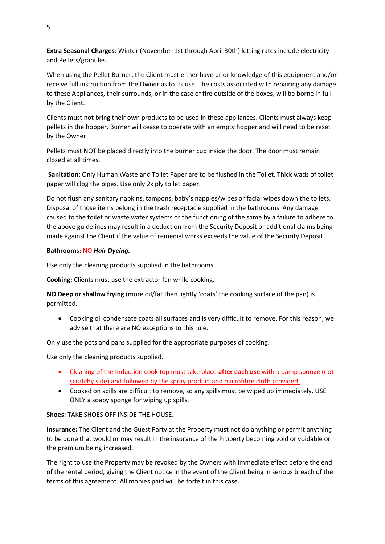**Extra Seasonal Charges**: Winter (November 1st through April 30th) letting rates include electricity and Pellets/granules.

When using the Pellet Burner, the Client must either have prior knowledge of this equipment and/or receive full instruction from the Owner as to its use. The costs associated with repairing any damage to these Appliances, their surrounds, or in the case of fire outside of the boxes, will be borne in full by the Client.

Clients must not bring their own products to be used in these appliances. Clients must always keep pellets in the hopper. Burner will cease to operate with an empty hopper and will need to be reset by the Owner

Pellets must NOT be placed directly into the burner cup inside the door. The door must remain closed at all times.

**Sanitation:** Only Human Waste and Toilet Paper are to be flushed in the Toilet. Thick wads of toilet paper will clog the pipes. Use only 2x ply toilet paper.

Do not flush any sanitary napkins, tampons, baby's nappies/wipes or facial wipes down the toilets. Disposal of those items belong in the trash receptacle supplied in the bathrooms. Any damage caused to the toilet or waste water systems or the functioning of the same by a failure to adhere to the above guidelines may result in a deduction from the Security Deposit or additional claims being made against the Client if the value of remedial works exceeds the value of the Security Deposit.

#### **Bathrooms:** NO *Hair Dyeing.*

Use only the cleaning products supplied in the bathrooms.

**Cooking:** Clients must use the extractor fan while cooking.

**NO Deep or shallow frying** (more oil/fat than lightly 'coats' the cooking surface of the pan) is permitted.

• Cooking oil condensate coats all surfaces and is very difficult to remove. For this reason, we advise that there are NO exceptions to this rule.

Only use the pots and pans supplied for the appropriate purposes of cooking.

Use only the cleaning products supplied.

- Cleaning of the Induction cook top must take place **after each use** with a damp sponge (not scratchy side) and followed by the spray product and microfibre cloth provided.
- Cooked on spills are difficult to remove, so any spills must be wiped up immediately. USE ONLY a soapy sponge for wiping up spills.

**Shoes:** TAKE SHOES OFF INSIDE THE HOUSE.

**Insurance:** The Client and the Guest Party at the Property must not do anything or permit anything to be done that would or may result in the insurance of the Property becoming void or voidable or the premium being increased.

The right to use the Property may be revoked by the Owners with immediate effect before the end of the rental period, giving the Client notice in the event of the Client being in serious breach of the terms of this agreement. All monies paid will be forfeit in this case.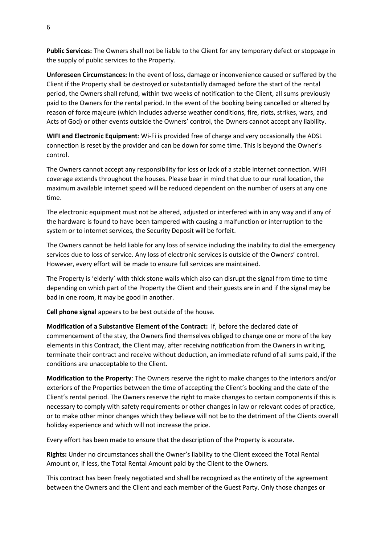**Public Services:** The Owners shall not be liable to the Client for any temporary defect or stoppage in the supply of public services to the Property.

**Unforeseen Circumstances:** In the event of loss, damage or inconvenience caused or suffered by the Client if the Property shall be destroyed or substantially damaged before the start of the rental period, the Owners shall refund, within two weeks of notification to the Client, all sums previously paid to the Owners for the rental period. In the event of the booking being cancelled or altered by reason of force majeure (which includes adverse weather conditions, fire, riots, strikes, wars, and Acts of God) or other events outside the Owners' control, the Owners cannot accept any liability.

**WIFI and Electronic Equipment**: Wi-Fi is provided free of charge and very occasionally the ADSL connection is reset by the provider and can be down for some time. This is beyond the Owner's control.

The Owners cannot accept any responsibility for loss or lack of a stable internet connection. WIFI coverage extends throughout the houses. Please bear in mind that due to our rural location, the maximum available internet speed will be reduced dependent on the number of users at any one time.

The electronic equipment must not be altered, adjusted or interfered with in any way and if any of the hardware is found to have been tampered with causing a malfunction or interruption to the system or to internet services, the Security Deposit will be forfeit.

The Owners cannot be held liable for any loss of service including the inability to dial the emergency services due to loss of service. Any loss of electronic services is outside of the Owners' control. However, every effort will be made to ensure full services are maintained.

The Property is 'elderly' with thick stone walls which also can disrupt the signal from time to time depending on which part of the Property the Client and their guests are in and if the signal may be bad in one room, it may be good in another.

**Cell phone signal** appears to be best outside of the house.

**Modification of a Substantive Element of the Contract:** If, before the declared date of commencement of the stay, the Owners find themselves obliged to change one or more of the key elements in this Contract, the Client may, after receiving notification from the Owners in writing, terminate their contract and receive without deduction, an immediate refund of all sums paid, if the conditions are unacceptable to the Client.

**Modification to the Property**: The Owners reserve the right to make changes to the interiors and/or exteriors of the Properties between the time of accepting the Client's booking and the date of the Client's rental period. The Owners reserve the right to make changes to certain components if this is necessary to comply with safety requirements or other changes in law or relevant codes of practice, or to make other minor changes which they believe will not be to the detriment of the Clients overall holiday experience and which will not increase the price.

Every effort has been made to ensure that the description of the Property is accurate.

**Rights:** Under no circumstances shall the Owner's liability to the Client exceed the Total Rental Amount or, if less, the Total Rental Amount paid by the Client to the Owners.

This contract has been freely negotiated and shall be recognized as the entirety of the agreement between the Owners and the Client and each member of the Guest Party. Only those changes or